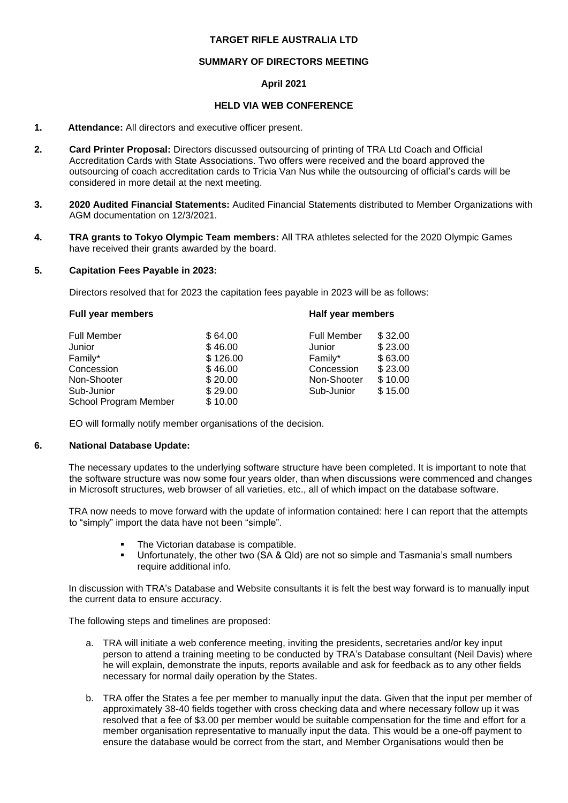## **TARGET RIFLE AUSTRALIA LTD**

## **SUMMARY OF DIRECTORS MEETING**

## **April 2021**

### **HELD VIA WEB CONFERENCE**

#### **1. Attendance:** All directors and executive officer present.

- **2. Card Printer Proposal:** Directors discussed outsourcing of printing of TRA Ltd Coach and Official Accreditation Cards with State Associations. Two offers were received and the board approved the outsourcing of coach accreditation cards to Tricia Van Nus while the outsourcing of official's cards will be considered in more detail at the next meeting.
- **3. 2020 Audited Financial Statements:** Audited Financial Statements distributed to Member Organizations with AGM documentation on 12/3/2021.
- **4. TRA grants to Tokyo Olympic Team members:** All TRA athletes selected for the 2020 Olympic Games have received their grants awarded by the board.

#### **5. Capitation Fees Payable in 2023:**

Directors resolved that for 2023 the capitation fees payable in 2023 will be as follows:

|         | Half year members                         |         |  |
|---------|-------------------------------------------|---------|--|
|         | <b>Full Member</b>                        | \$32.00 |  |
| \$46.00 | Junior                                    | \$23.00 |  |
|         | Family*                                   | \$63.00 |  |
| \$46.00 | Concession                                | \$23.00 |  |
| \$20.00 | Non-Shooter                               | \$10.00 |  |
|         | Sub-Junior                                | \$15.00 |  |
|         |                                           |         |  |
|         | \$64.00<br>\$126.00<br>\$29.00<br>\$10.00 |         |  |

EO will formally notify member organisations of the decision.

#### **6. National Database Update:**

The necessary updates to the underlying software structure have been completed. It is important to note that the software structure was now some four years older, than when discussions were commenced and changes in Microsoft structures, web browser of all varieties, etc., all of which impact on the database software.

TRA now needs to move forward with the update of information contained: here I can report that the attempts to "simply" import the data have not been "simple".

- The Victorian database is compatible.
- Unfortunately, the other two (SA & Qld) are not so simple and Tasmania's small numbers require additional info.

In discussion with TRA's Database and Website consultants it is felt the best way forward is to manually input the current data to ensure accuracy.

The following steps and timelines are proposed:

- a. TRA will initiate a web conference meeting, inviting the presidents, secretaries and/or key input person to attend a training meeting to be conducted by TRA's Database consultant (Neil Davis) where he will explain, demonstrate the inputs, reports available and ask for feedback as to any other fields necessary for normal daily operation by the States.
- b. TRA offer the States a fee per member to manually input the data. Given that the input per member of approximately 38-40 fields together with cross checking data and where necessary follow up it was resolved that a fee of \$3.00 per member would be suitable compensation for the time and effort for a member organisation representative to manually input the data. This would be a one-off payment to ensure the database would be correct from the start, and Member Organisations would then be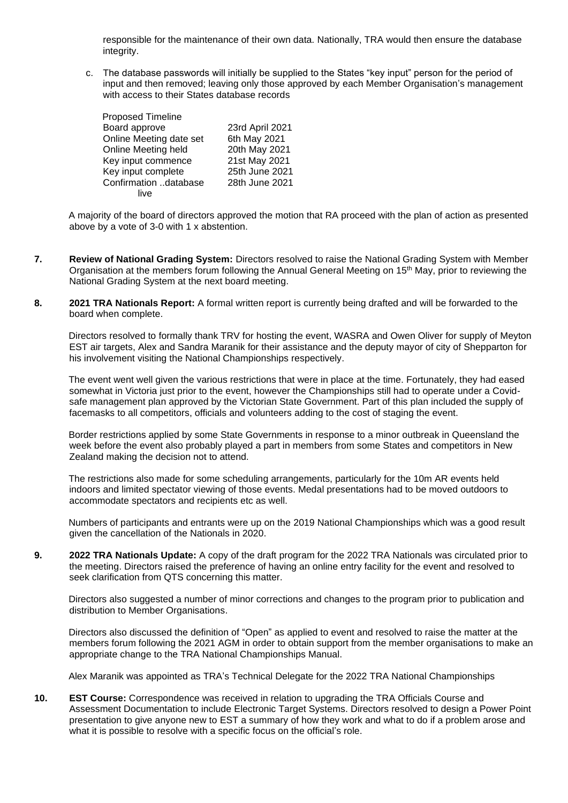responsible for the maintenance of their own data. Nationally, TRA would then ensure the database integrity.

c. The database passwords will initially be supplied to the States "key input" person for the period of input and then removed; leaving only those approved by each Member Organisation's management with access to their States database records

| <b>Proposed Timeline</b> |                 |
|--------------------------|-----------------|
| Board approve            | 23rd April 2021 |
| Online Meeting date set  | 6th May 2021    |
| Online Meeting held      | 20th May 2021   |
| Key input commence       | 21st May 2021   |
| Key input complete       | 25th June 2021  |
| Confirmation database    | 28th June 2021  |
| live                     |                 |

A majority of the board of directors approved the motion that RA proceed with the plan of action as presented above by a vote of 3-0 with 1 x abstention.

- **7. Review of National Grading System:** Directors resolved to raise the National Grading System with Member Organisation at the members forum following the Annual General Meeting on  $15<sup>th</sup>$  May, prior to reviewing the National Grading System at the next board meeting.
- **8. 2021 TRA Nationals Report:** A formal written report is currently being drafted and will be forwarded to the board when complete.

Directors resolved to formally thank TRV for hosting the event, WASRA and Owen Oliver for supply of Meyton EST air targets, Alex and Sandra Maranik for their assistance and the deputy mayor of city of Shepparton for his involvement visiting the National Championships respectively.

The event went well given the various restrictions that were in place at the time. Fortunately, they had eased somewhat in Victoria just prior to the event, however the Championships still had to operate under a Covidsafe management plan approved by the Victorian State Government. Part of this plan included the supply of facemasks to all competitors, officials and volunteers adding to the cost of staging the event.

Border restrictions applied by some State Governments in response to a minor outbreak in Queensland the week before the event also probably played a part in members from some States and competitors in New Zealand making the decision not to attend.

The restrictions also made for some scheduling arrangements, particularly for the 10m AR events held indoors and limited spectator viewing of those events. Medal presentations had to be moved outdoors to accommodate spectators and recipients etc as well.

Numbers of participants and entrants were up on the 2019 National Championships which was a good result given the cancellation of the Nationals in 2020.

**9. 2022 TRA Nationals Update:** A copy of the draft program for the 2022 TRA Nationals was circulated prior to the meeting. Directors raised the preference of having an online entry facility for the event and resolved to seek clarification from QTS concerning this matter.

Directors also suggested a number of minor corrections and changes to the program prior to publication and distribution to Member Organisations.

Directors also discussed the definition of "Open" as applied to event and resolved to raise the matter at the members forum following the 2021 AGM in order to obtain support from the member organisations to make an appropriate change to the TRA National Championships Manual.

Alex Maranik was appointed as TRA's Technical Delegate for the 2022 TRA National Championships

**10. EST Course:** Correspondence was received in relation to upgrading the TRA Officials Course and Assessment Documentation to include Electronic Target Systems. Directors resolved to design a Power Point presentation to give anyone new to EST a summary of how they work and what to do if a problem arose and what it is possible to resolve with a specific focus on the official's role.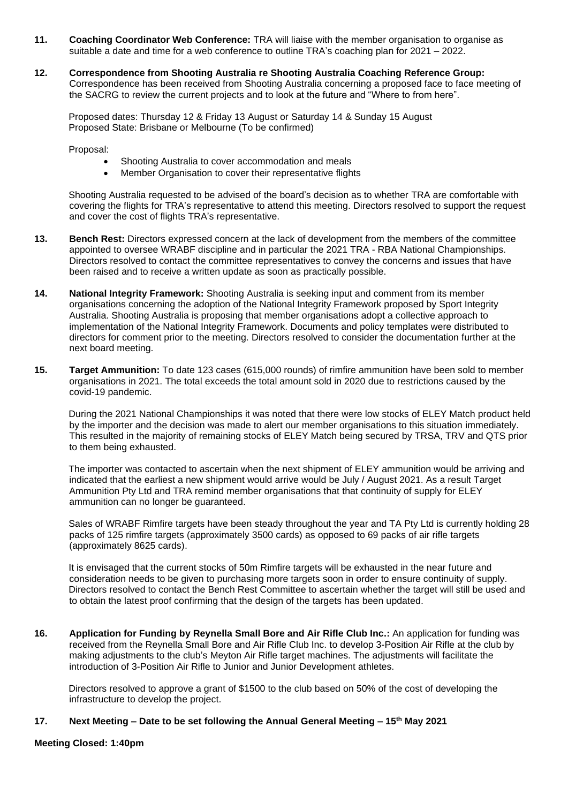- **11. Coaching Coordinator Web Conference:** TRA will liaise with the member organisation to organise as suitable a date and time for a web conference to outline TRA's coaching plan for 2021 – 2022.
- **12. Correspondence from Shooting Australia re Shooting Australia Coaching Reference Group:** Correspondence has been received from Shooting Australia concerning a proposed face to face meeting of the SACRG to review the current projects and to look at the future and "Where to from here".

Proposed dates: Thursday 12 & Friday 13 August or Saturday 14 & Sunday 15 August Proposed State: Brisbane or Melbourne (To be confirmed)

Proposal:

- Shooting Australia to cover accommodation and meals
- Member Organisation to cover their representative flights

Shooting Australia requested to be advised of the board's decision as to whether TRA are comfortable with covering the flights for TRA's representative to attend this meeting. Directors resolved to support the request and cover the cost of flights TRA's representative.

- **13. Bench Rest:** Directors expressed concern at the lack of development from the members of the committee appointed to oversee WRABF discipline and in particular the 2021 TRA - RBA National Championships. Directors resolved to contact the committee representatives to convey the concerns and issues that have been raised and to receive a written update as soon as practically possible.
- **14. National Integrity Framework:** Shooting Australia is seeking input and comment from its member organisations concerning the adoption of the National Integrity Framework proposed by Sport Integrity Australia. Shooting Australia is proposing that member organisations adopt a collective approach to implementation of the National Integrity Framework. Documents and policy templates were distributed to directors for comment prior to the meeting. Directors resolved to consider the documentation further at the next board meeting.
- **15. Target Ammunition:** To date 123 cases (615,000 rounds) of rimfire ammunition have been sold to member organisations in 2021. The total exceeds the total amount sold in 2020 due to restrictions caused by the covid-19 pandemic.

During the 2021 National Championships it was noted that there were low stocks of ELEY Match product held by the importer and the decision was made to alert our member organisations to this situation immediately. This resulted in the majority of remaining stocks of ELEY Match being secured by TRSA, TRV and QTS prior to them being exhausted.

The importer was contacted to ascertain when the next shipment of ELEY ammunition would be arriving and indicated that the earliest a new shipment would arrive would be July / August 2021. As a result Target Ammunition Pty Ltd and TRA remind member organisations that that continuity of supply for ELEY ammunition can no longer be guaranteed.

Sales of WRABF Rimfire targets have been steady throughout the year and TA Pty Ltd is currently holding 28 packs of 125 rimfire targets (approximately 3500 cards) as opposed to 69 packs of air rifle targets (approximately 8625 cards).

It is envisaged that the current stocks of 50m Rimfire targets will be exhausted in the near future and consideration needs to be given to purchasing more targets soon in order to ensure continuity of supply. Directors resolved to contact the Bench Rest Committee to ascertain whether the target will still be used and to obtain the latest proof confirming that the design of the targets has been updated.

**16. Application for Funding by Reynella Small Bore and Air Rifle Club Inc.:** An application for funding was received from the Reynella Small Bore and Air Rifle Club Inc. to develop 3-Position Air Rifle at the club by making adjustments to the club's Meyton Air Rifle target machines. The adjustments will facilitate the introduction of 3-Position Air Rifle to Junior and Junior Development athletes.

Directors resolved to approve a grant of \$1500 to the club based on 50% of the cost of developing the infrastructure to develop the project.

# **17. Next Meeting – Date to be set following the Annual General Meeting – 15th May 2021**

#### **Meeting Closed: 1:40pm**